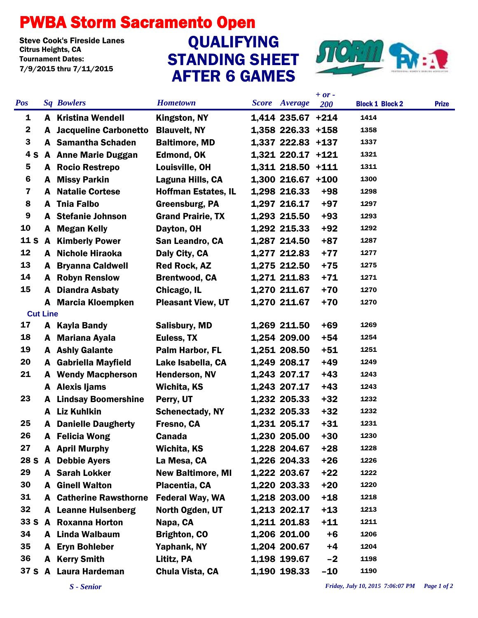## PWBA Storm Sacramento Open

Steve Cook's Fireside Lanes<br>Citrus Heights. CA Tournament Dates: 7/9/2015 thru 7/11/2015

## STANDING SHEET AFTER 6 GAMES Steve Cook's Fireside Lanes<br>Citrus Heights, CA CAN CONTROLLEYING



|                         |              |                              |                            |  |                     | $+ or -$   |                        |              |
|-------------------------|--------------|------------------------------|----------------------------|--|---------------------|------------|------------------------|--------------|
| <b>Pos</b>              |              | <b>Sq Bowlers</b>            | <b>Hometown</b>            |  | Score Average       | <b>200</b> | <b>Block 1 Block 2</b> | <b>Prize</b> |
| 1                       |              | <b>A</b> Kristina Wendell    | Kingston, NY               |  | 1,414 235.67 +214   |            | 1414                   |              |
| $\mathbf 2$             | A            | <b>Jacqueline Carbonetto</b> | <b>Blauvelt, NY</b>        |  | 1,358 226.33 +158   |            | 1358                   |              |
| 3                       |              | A Samantha Schaden           | <b>Baltimore, MD</b>       |  | 1,337 222.83 +137   |            | 1337                   |              |
| 4 S                     |              | <b>A</b> Anne Marie Duggan   | <b>Edmond, OK</b>          |  | 1,321 220.17 +121   |            | 1321                   |              |
| 5                       |              | A Rocio Restrepo             | Louisville, OH             |  | 1,311 218.50 +111   |            | 1311                   |              |
| 6                       | A            | <b>Missy Parkin</b>          | Laguna Hills, CA           |  | $1,300$ 216.67 +100 |            | 1300                   |              |
| $\overline{\mathbf{z}}$ | A            | <b>Natalie Cortese</b>       | <b>Hoffman Estates, IL</b> |  | 1,298 216.33        | $+98$      | 1298                   |              |
| 8                       | A            | <b>Thia Falbo</b>            | Greensburg, PA             |  | 1,297 216.17        | $+97$      | 1297                   |              |
| 9                       |              | <b>A</b> Stefanie Johnson    | <b>Grand Prairie, TX</b>   |  | 1,293 215.50        | $+93$      | 1293                   |              |
| 10                      | A            | <b>Megan Kelly</b>           | Dayton, OH                 |  | 1,292 215.33        | $+92$      | 1292                   |              |
| <b>11 S</b>             |              | <b>A</b> Kimberly Power      | San Leandro, CA            |  | 1,287 214.50        | $+87$      | 1287                   |              |
| 12                      |              | A Nichole Hiraoka            | Daly City, CA              |  | 1,277 212.83        | $+77$      | 1277                   |              |
| 13                      | A            | <b>Bryanna Caldwell</b>      | <b>Red Rock, AZ</b>        |  | 1,275 212.50        | $+75$      | 1275                   |              |
| 14                      | A            | <b>Robyn Renslow</b>         | <b>Brentwood, CA</b>       |  | 1,271 211.83        | $+71$      | 1271                   |              |
| 15                      | A            | <b>Diandra Asbaty</b>        | Chicago, IL                |  | 1,270 211.67        | $+70$      | 1270                   |              |
|                         |              | A Marcia Kloempken           | <b>Pleasant View, UT</b>   |  | 1,270 211.67        | $+70$      | 1270                   |              |
| <b>Cut Line</b>         |              |                              |                            |  |                     |            |                        |              |
| 17                      | A            | <b>Kayla Bandy</b>           | <b>Salisbury, MD</b>       |  | 1,269 211.50        | $+69$      | 1269                   |              |
| 18                      | A            | <b>Mariana Ayala</b>         | Euless, TX                 |  | 1,254 209.00        | $+54$      | 1254                   |              |
| 19                      |              | <b>A</b> Ashly Galante       | Palm Harbor, FL            |  | 1,251 208.50        | $+51$      | 1251                   |              |
| 20                      | A            | <b>Gabriella Mayfield</b>    | Lake Isabella, CA          |  | 1,249 208.17        | $+49$      | 1249                   |              |
| 21                      | A            | <b>Wendy Macpherson</b>      | <b>Henderson, NV</b>       |  | 1,243 207.17        | $+43$      | 1243                   |              |
|                         |              | A Alexis Ijams               | Wichita, KS                |  | 1,243 207.17        | $+43$      | 1243                   |              |
| 23                      | A            | <b>Lindsay Boomershine</b>   | Perry, UT                  |  | 1,232 205.33        | $+32$      | 1232                   |              |
|                         | A            | <b>Liz Kuhlkin</b>           | <b>Schenectady, NY</b>     |  | 1,232 205.33        | $+32$      | 1232                   |              |
| 25                      | A            | <b>Danielle Daugherty</b>    | Fresno, CA                 |  | 1,231 205.17        | $+31$      | 1231                   |              |
| 26                      | A            | <b>Felicia Wong</b>          | <b>Canada</b>              |  | 1,230 205.00        | $+30$      | 1230                   |              |
| 27                      |              | A April Murphy               | Wichita, KS                |  | 1,228 204.67        | $+28$      | 1228                   |              |
| 28 S                    | $\mathbf{A}$ | <b>Debbie Ayers</b>          | La Mesa, CA                |  | 1,226 204.33        | $+26$      | 1226                   |              |
| 29                      |              | A Sarah Lokker               | <b>New Baltimore, MI</b>   |  | 1,222 203.67        | $+22$      | 1222                   |              |
| 30                      | A            | <b>Ginell Walton</b>         | Placentia, CA              |  | 1,220 203.33        | $+20$      | 1220                   |              |
| 31                      | A            | <b>Catherine Rawsthorne</b>  | <b>Federal Way, WA</b>     |  | 1,218 203.00        | $+18$      | 1218                   |              |
| 32                      |              | <b>A</b> Leanne Hulsenberg   | North Ogden, UT            |  | 1,213 202.17        | $+13$      | 1213                   |              |
| 33S                     |              | A Roxanna Horton             | Napa, CA                   |  | 1,211 201.83        | $+11$      | 1211                   |              |
| 34                      |              | A Linda Walbaum              | <b>Brighton, CO</b>        |  | 1,206 201.00        | $+6$       | 1206                   |              |
| 35                      | A            | <b>Eryn Bohleber</b>         | Yaphank, NY                |  | 1,204 200.67        | $+4$       | 1204                   |              |
| 36                      | A            | <b>Kerry Smith</b>           | Lititz, PA                 |  | 1,198 199.67        | $-2$       | 1198                   |              |
| 37 S A                  |              | Laura Hardeman               | Chula Vista, CA            |  | 1,190 198.33        | $-10$      | 1190                   |              |